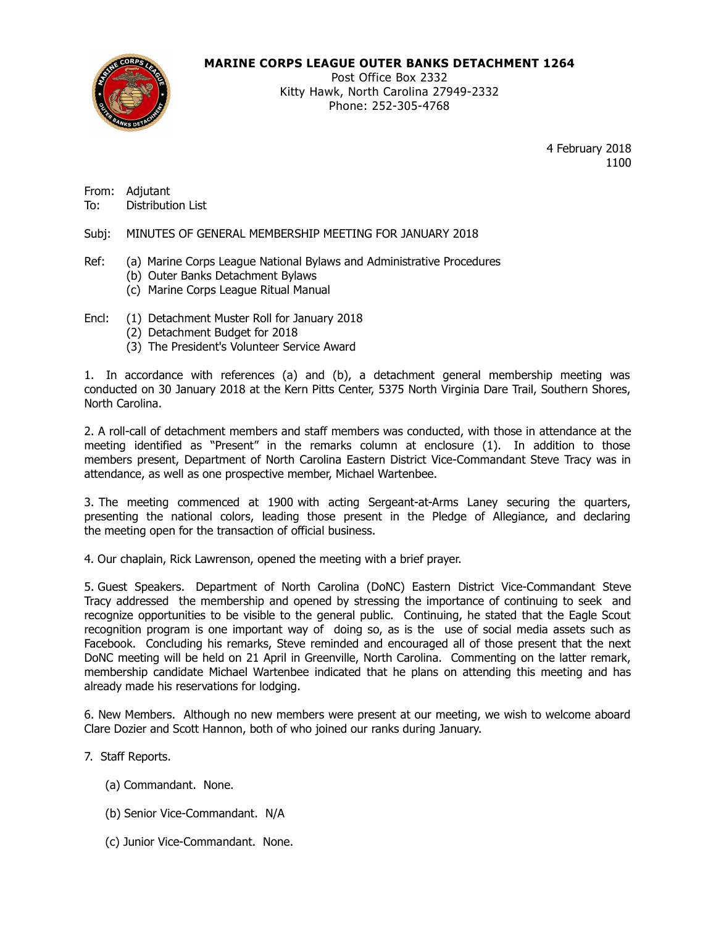**MARINE CORPS LEAGUE OUTER BANKS DETACHMENT 1264**



Post Office Box 2332 Kitty Hawk, North Carolina 27949-2332 Phone: 252-305-4768

> 4 February 2018 1100

From: Adjutant To: Distribution List

Subj: MINUTES OF GENERAL MEMBERSHIP MEETING FOR JANUARY 2018

- Ref: (a) Marine Corps League National Bylaws and Administrative Procedures
	- (b) Outer Banks Detachment Bylaws
	- (c) Marine Corps League Ritual Manual
- Encl: (1) Detachment Muster Roll for January 2018
	- (2) Detachment Budget for 2018
	- (3) The President's Volunteer Service Award

1. In accordance with references (a) and (b), a detachment general membership meeting was conducted on 30 January 2018 at the Kern Pitts Center, 5375 North Virginia Dare Trail, Southern Shores, North Carolina.

2. A roll-call of detachment members and staff members was conducted, with those in attendance at the meeting identified as "Present" in the remarks column at enclosure (1). In addition to those members present, Department of North Carolina Eastern District Vice-Commandant Steve Tracy was in attendance, as well as one prospective member, Michael Wartenbee.

3. The meeting commenced at 1900 with acting Sergeant-at-Arms Laney securing the quarters, presenting the national colors, leading those present in the Pledge of Allegiance, and declaring the meeting open for the transaction of official business.

4. Our chaplain, Rick Lawrenson, opened the meeting with a brief prayer.

5. Guest Speakers. Department of North Carolina (DoNC) Eastern District Vice-Commandant Steve Tracy addressed the membership and opened by stressing the importance of continuing to seek and recognize opportunities to be visible to the general public. Continuing, he stated that the Eagle Scout recognition program is one important way of doing so, as is the use of social media assets such as Facebook. Concluding his remarks, Steve reminded and encouraged all of those present that the next DoNC meeting will be held on 21 April in Greenville, North Carolina. Commenting on the latter remark, membership candidate Michael Wartenbee indicated that he plans on attending this meeting and has already made his reservations for lodging.

6. New Members. Although no new members were present at our meeting, we wish to welcome aboard Clare Dozier and Scott Hannon, both of who joined our ranks during January.

7. Staff Reports.

- (a) Commandant. None.
- (b) Senior Vice-Commandant. N/A
- (c) Junior Vice-Commandant. None.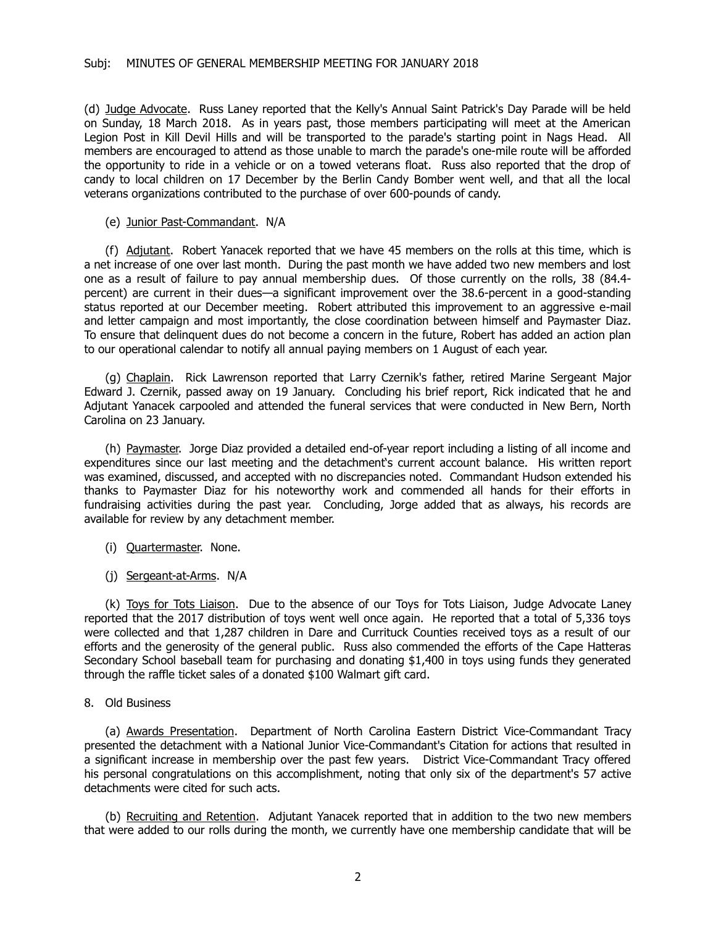(d) Judge Advocate. Russ Laney reported that the Kelly's Annual Saint Patrick's Day Parade will be held on Sunday, 18 March 2018. As in years past, those members participating will meet at the American Legion Post in Kill Devil Hills and will be transported to the parade's starting point in Nags Head. All members are encouraged to attend as those unable to march the parade's one-mile route will be afforded the opportunity to ride in a vehicle or on a towed veterans float. Russ also reported that the drop of candy to local children on 17 December by the Berlin Candy Bomber went well, and that all the local veterans organizations contributed to the purchase of over 600-pounds of candy.

#### (e) Junior Past-Commandant. N/A

 (f) Adjutant. Robert Yanacek reported that we have 45 members on the rolls at this time, which is a net increase of one over last month. During the past month we have added two new members and lost one as a result of failure to pay annual membership dues. Of those currently on the rolls, 38 (84.4 percent) are current in their dues—a significant improvement over the 38.6-percent in a good-standing status reported at our December meeting. Robert attributed this improvement to an aggressive e-mail and letter campaign and most importantly, the close coordination between himself and Paymaster Diaz. To ensure that delinquent dues do not become a concern in the future, Robert has added an action plan to our operational calendar to notify all annual paying members on 1 August of each year.

(g) Chaplain. Rick Lawrenson reported that Larry Czernik's father, retired Marine Sergeant Major Edward J. Czernik, passed away on 19 January. Concluding his brief report, Rick indicated that he and Adjutant Yanacek carpooled and attended the funeral services that were conducted in New Bern, North Carolina on 23 January.

(h) Paymaster. Jorge Diaz provided a detailed end-of-year report including a listing of all income and expenditures since our last meeting and the detachment's current account balance. His written report was examined, discussed, and accepted with no discrepancies noted. Commandant Hudson extended his thanks to Paymaster Diaz for his noteworthy work and commended all hands for their efforts in fundraising activities during the past year. Concluding, Jorge added that as always, his records are available for review by any detachment member.

- (i) Quartermaster. None.
- (j) Sergeant-at-Arms. N/A

(k) Toys for Tots Liaison. Due to the absence of our Toys for Tots Liaison, Judge Advocate Laney reported that the 2017 distribution of toys went well once again. He reported that a total of 5,336 toys were collected and that 1,287 children in Dare and Currituck Counties received toys as a result of our efforts and the generosity of the general public. Russ also commended the efforts of the Cape Hatteras Secondary School baseball team for purchasing and donating \$1,400 in toys using funds they generated through the raffle ticket sales of a donated \$100 Walmart gift card.

8. Old Business

(a) Awards Presentation. Department of North Carolina Eastern District Vice-Commandant Tracy presented the detachment with a National Junior Vice-Commandant's Citation for actions that resulted in a significant increase in membership over the past few years. District Vice-Commandant Tracy offered his personal congratulations on this accomplishment, noting that only six of the department's 57 active detachments were cited for such acts.

(b) Recruiting and Retention. Adjutant Yanacek reported that in addition to the two new members that were added to our rolls during the month, we currently have one membership candidate that will be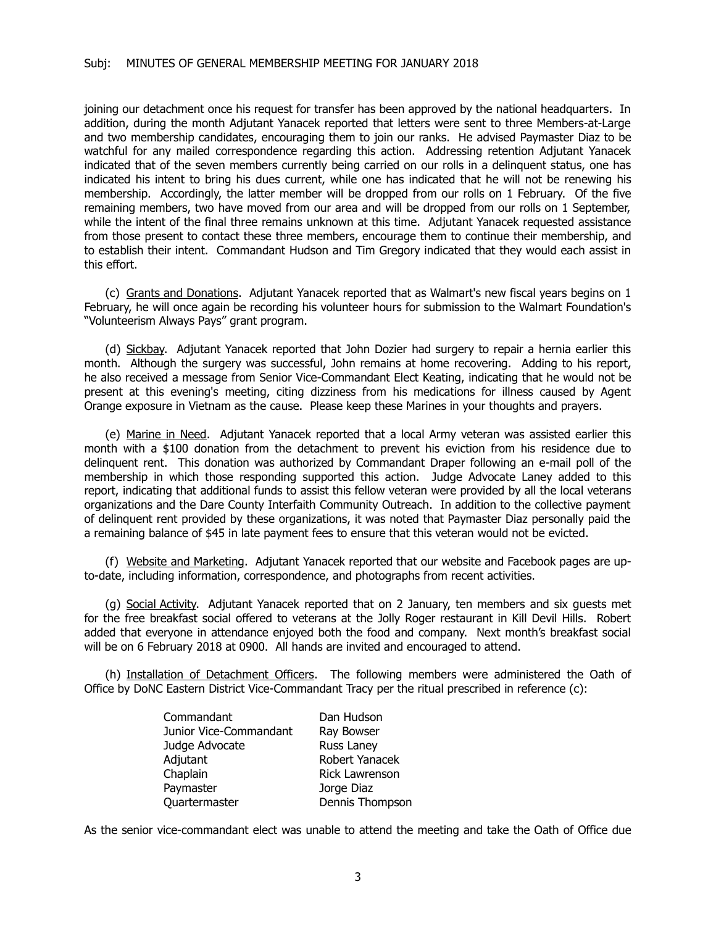joining our detachment once his request for transfer has been approved by the national headquarters. In addition, during the month Adjutant Yanacek reported that letters were sent to three Members-at-Large and two membership candidates, encouraging them to join our ranks. He advised Paymaster Diaz to be watchful for any mailed correspondence regarding this action. Addressing retention Adjutant Yanacek indicated that of the seven members currently being carried on our rolls in a delinquent status, one has indicated his intent to bring his dues current, while one has indicated that he will not be renewing his membership. Accordingly, the latter member will be dropped from our rolls on 1 February. Of the five remaining members, two have moved from our area and will be dropped from our rolls on 1 September, while the intent of the final three remains unknown at this time. Adjutant Yanacek requested assistance from those present to contact these three members, encourage them to continue their membership, and to establish their intent. Commandant Hudson and Tim Gregory indicated that they would each assist in this effort.

(c) Grants and Donations. Adjutant Yanacek reported that as Walmart's new fiscal years begins on 1 February, he will once again be recording his volunteer hours for submission to the Walmart Foundation's "Volunteerism Always Pays" grant program.

(d) Sickbay. Adjutant Yanacek reported that John Dozier had surgery to repair a hernia earlier this month. Although the surgery was successful, John remains at home recovering. Adding to his report, he also received a message from Senior Vice-Commandant Elect Keating, indicating that he would not be present at this evening's meeting, citing dizziness from his medications for illness caused by Agent Orange exposure in Vietnam as the cause. Please keep these Marines in your thoughts and prayers.

(e) Marine in Need. Adjutant Yanacek reported that a local Army veteran was assisted earlier this month with a \$100 donation from the detachment to prevent his eviction from his residence due to delinquent rent. This donation was authorized by Commandant Draper following an e-mail poll of the membership in which those responding supported this action. Judge Advocate Laney added to this report, indicating that additional funds to assist this fellow veteran were provided by all the local veterans organizations and the Dare County Interfaith Community Outreach. In addition to the collective payment of delinquent rent provided by these organizations, it was noted that Paymaster Diaz personally paid the a remaining balance of \$45 in late payment fees to ensure that this veteran would not be evicted.

(f) Website and Marketing. Adjutant Yanacek reported that our website and Facebook pages are upto-date, including information, correspondence, and photographs from recent activities.

(g) Social Activity. Adjutant Yanacek reported that on 2 January, ten members and six guests met for the free breakfast social offered to veterans at the Jolly Roger restaurant in Kill Devil Hills. Robert added that everyone in attendance enjoyed both the food and company. Next month's breakfast social will be on 6 February 2018 at 0900. All hands are invited and encouraged to attend.

(h) Installation of Detachment Officers. The following members were administered the Oath of Office by DoNC Eastern District Vice-Commandant Tracy per the ritual prescribed in reference (c):

| Commandant             | Dan Hudson            |
|------------------------|-----------------------|
| Junior Vice-Commandant | Ray Bowser            |
| Judge Advocate         | <b>Russ Laney</b>     |
| Adjutant               | Robert Yanacek        |
| Chaplain               | <b>Rick Lawrenson</b> |
| Paymaster              | Jorge Diaz            |
| Quartermaster          | Dennis Thompson       |

As the senior vice-commandant elect was unable to attend the meeting and take the Oath of Office due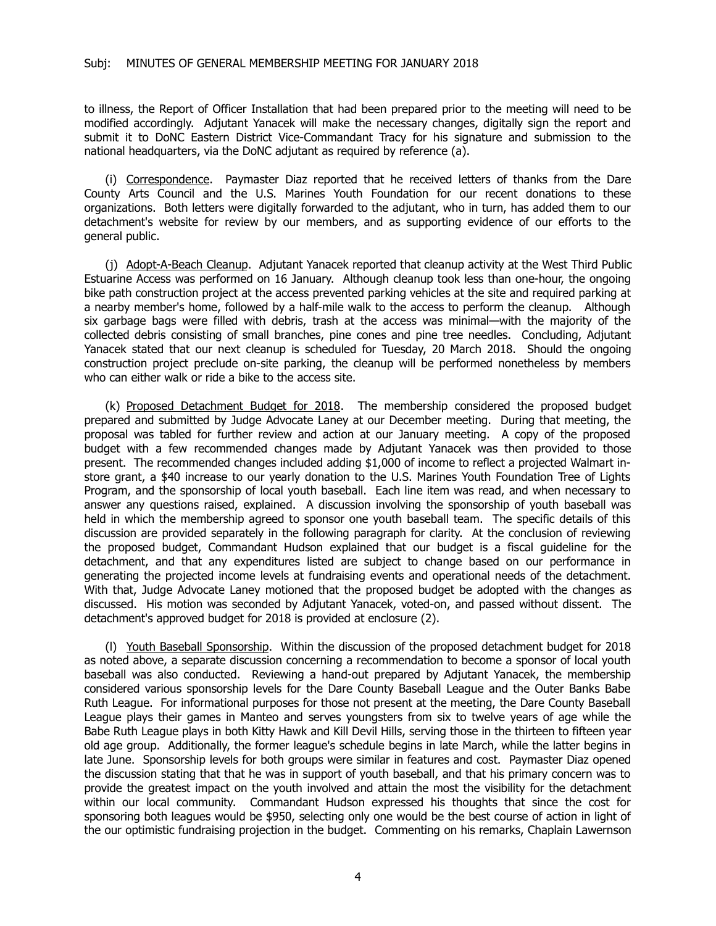to illness, the Report of Officer Installation that had been prepared prior to the meeting will need to be modified accordingly. Adjutant Yanacek will make the necessary changes, digitally sign the report and submit it to DoNC Eastern District Vice-Commandant Tracy for his signature and submission to the national headquarters, via the DoNC adjutant as required by reference (a).

(i) Correspondence. Paymaster Diaz reported that he received letters of thanks from the Dare County Arts Council and the U.S. Marines Youth Foundation for our recent donations to these organizations. Both letters were digitally forwarded to the adjutant, who in turn, has added them to our detachment's website for review by our members, and as supporting evidence of our efforts to the general public.

(j) Adopt-A-Beach Cleanup. Adjutant Yanacek reported that cleanup activity at the West Third Public Estuarine Access was performed on 16 January. Although cleanup took less than one-hour, the ongoing bike path construction project at the access prevented parking vehicles at the site and required parking at a nearby member's home, followed by a half-mile walk to the access to perform the cleanup. Although six garbage bags were filled with debris, trash at the access was minimal—with the majority of the collected debris consisting of small branches, pine cones and pine tree needles. Concluding, Adjutant Yanacek stated that our next cleanup is scheduled for Tuesday, 20 March 2018. Should the ongoing construction project preclude on-site parking, the cleanup will be performed nonetheless by members who can either walk or ride a bike to the access site.

(k) Proposed Detachment Budget for 2018. The membership considered the proposed budget prepared and submitted by Judge Advocate Laney at our December meeting. During that meeting, the proposal was tabled for further review and action at our January meeting. A copy of the proposed budget with a few recommended changes made by Adjutant Yanacek was then provided to those present. The recommended changes included adding \$1,000 of income to reflect a projected Walmart instore grant, a \$40 increase to our yearly donation to the U.S. Marines Youth Foundation Tree of Lights Program, and the sponsorship of local youth baseball. Each line item was read, and when necessary to answer any questions raised, explained. A discussion involving the sponsorship of youth baseball was held in which the membership agreed to sponsor one youth baseball team. The specific details of this discussion are provided separately in the following paragraph for clarity. At the conclusion of reviewing the proposed budget, Commandant Hudson explained that our budget is a fiscal guideline for the detachment, and that any expenditures listed are subject to change based on our performance in generating the projected income levels at fundraising events and operational needs of the detachment. With that, Judge Advocate Laney motioned that the proposed budget be adopted with the changes as discussed. His motion was seconded by Adjutant Yanacek, voted-on, and passed without dissent. The detachment's approved budget for 2018 is provided at enclosure (2).

(l) Youth Baseball Sponsorship. Within the discussion of the proposed detachment budget for 2018 as noted above, a separate discussion concerning a recommendation to become a sponsor of local youth baseball was also conducted. Reviewing a hand-out prepared by Adjutant Yanacek, the membership considered various sponsorship levels for the Dare County Baseball League and the Outer Banks Babe Ruth League. For informational purposes for those not present at the meeting, the Dare County Baseball League plays their games in Manteo and serves youngsters from six to twelve years of age while the Babe Ruth League plays in both Kitty Hawk and Kill Devil Hills, serving those in the thirteen to fifteen year old age group. Additionally, the former league's schedule begins in late March, while the latter begins in late June. Sponsorship levels for both groups were similar in features and cost. Paymaster Diaz opened the discussion stating that that he was in support of youth baseball, and that his primary concern was to provide the greatest impact on the youth involved and attain the most the visibility for the detachment within our local community. Commandant Hudson expressed his thoughts that since the cost for sponsoring both leagues would be \$950, selecting only one would be the best course of action in light of the our optimistic fundraising projection in the budget. Commenting on his remarks, Chaplain Lawernson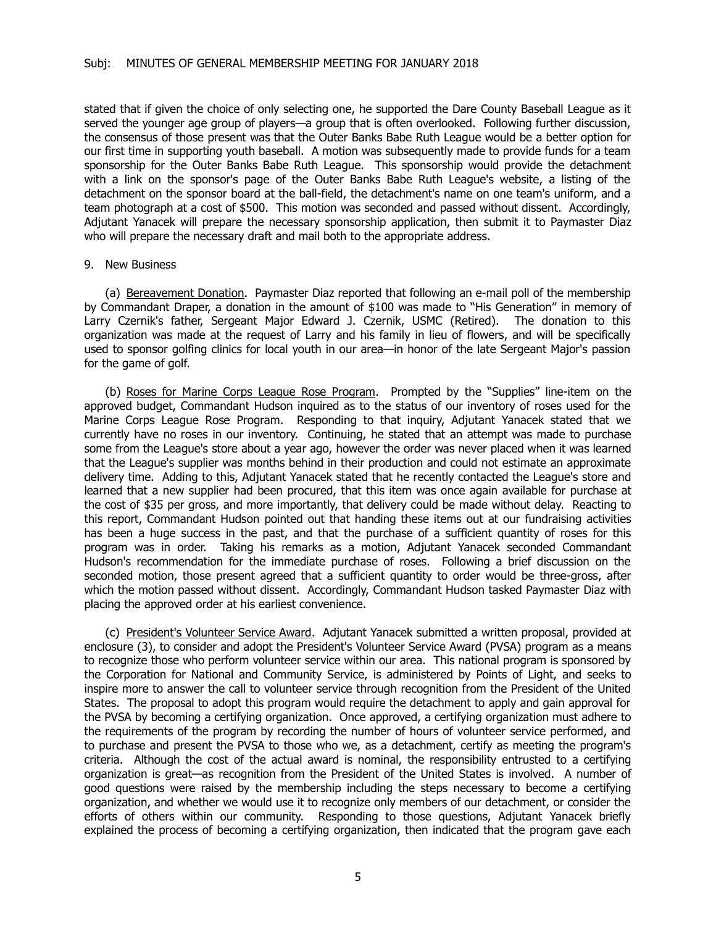stated that if given the choice of only selecting one, he supported the Dare County Baseball League as it served the younger age group of players—a group that is often overlooked. Following further discussion, the consensus of those present was that the Outer Banks Babe Ruth League would be a better option for our first time in supporting youth baseball. A motion was subsequently made to provide funds for a team sponsorship for the Outer Banks Babe Ruth League. This sponsorship would provide the detachment with a link on the sponsor's page of the Outer Banks Babe Ruth League's website, a listing of the detachment on the sponsor board at the ball-field, the detachment's name on one team's uniform, and a team photograph at a cost of \$500. This motion was seconded and passed without dissent. Accordingly, Adjutant Yanacek will prepare the necessary sponsorship application, then submit it to Paymaster Diaz who will prepare the necessary draft and mail both to the appropriate address.

#### 9. New Business

(a) Bereavement Donation. Paymaster Diaz reported that following an e-mail poll of the membership by Commandant Draper, a donation in the amount of \$100 was made to "His Generation" in memory of Larry Czernik's father, Sergeant Major Edward J. Czernik, USMC (Retired). The donation to this organization was made at the request of Larry and his family in lieu of flowers, and will be specifically used to sponsor golfing clinics for local youth in our area—in honor of the late Sergeant Major's passion for the game of golf.

(b) Roses for Marine Corps League Rose Program. Prompted by the "Supplies" line-item on the approved budget, Commandant Hudson inquired as to the status of our inventory of roses used for the Marine Corps League Rose Program. Responding to that inquiry, Adjutant Yanacek stated that we currently have no roses in our inventory. Continuing, he stated that an attempt was made to purchase some from the League's store about a year ago, however the order was never placed when it was learned that the League's supplier was months behind in their production and could not estimate an approximate delivery time. Adding to this, Adjutant Yanacek stated that he recently contacted the League's store and learned that a new supplier had been procured, that this item was once again available for purchase at the cost of \$35 per gross, and more importantly, that delivery could be made without delay. Reacting to this report, Commandant Hudson pointed out that handing these items out at our fundraising activities has been a huge success in the past, and that the purchase of a sufficient quantity of roses for this program was in order. Taking his remarks as a motion, Adjutant Yanacek seconded Commandant Hudson's recommendation for the immediate purchase of roses. Following a brief discussion on the seconded motion, those present agreed that a sufficient quantity to order would be three-gross, after which the motion passed without dissent. Accordingly, Commandant Hudson tasked Paymaster Diaz with placing the approved order at his earliest convenience.

(c) President's Volunteer Service Award. Adjutant Yanacek submitted a written proposal, provided at enclosure (3), to consider and adopt the President's Volunteer Service Award (PVSA) program as a means to recognize those who perform volunteer service within our area. This national program is sponsored by the Corporation for National and Community Service, is administered by Points of Light, and seeks to inspire more to answer the call to volunteer service through recognition from the President of the United States. The proposal to adopt this program would require the detachment to apply and gain approval for the PVSA by becoming a certifying organization. Once approved, a certifying organization must adhere to the requirements of the program by recording the number of hours of volunteer service performed, and to purchase and present the PVSA to those who we, as a detachment, certify as meeting the program's criteria. Although the cost of the actual award is nominal, the responsibility entrusted to a certifying organization is great—as recognition from the President of the United States is involved. A number of good questions were raised by the membership including the steps necessary to become a certifying organization, and whether we would use it to recognize only members of our detachment, or consider the efforts of others within our community. Responding to those questions, Adjutant Yanacek briefly explained the process of becoming a certifying organization, then indicated that the program gave each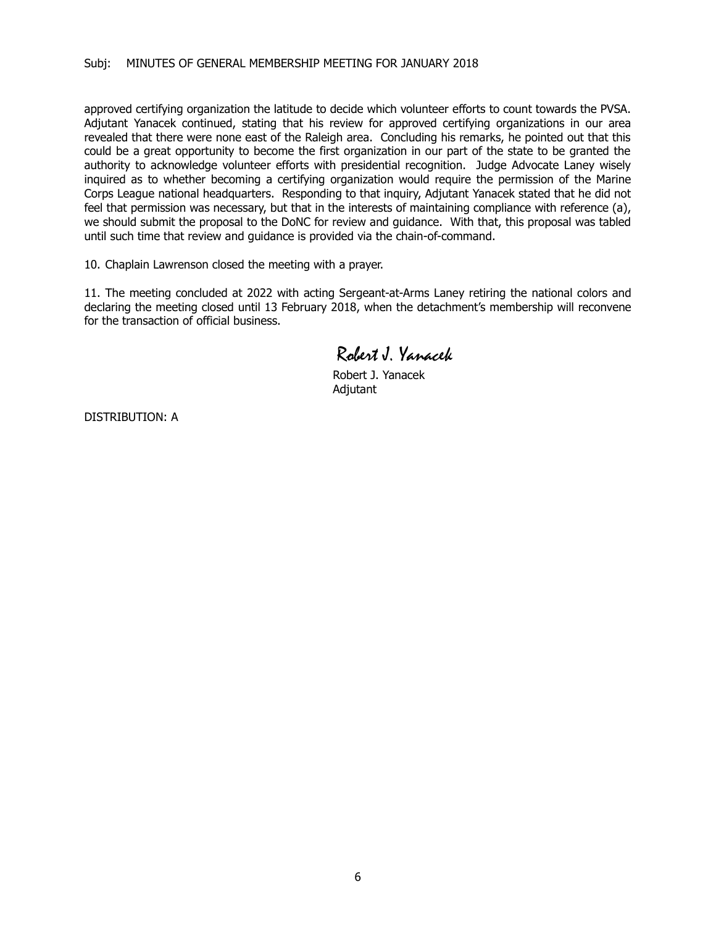approved certifying organization the latitude to decide which volunteer efforts to count towards the PVSA. Adjutant Yanacek continued, stating that his review for approved certifying organizations in our area revealed that there were none east of the Raleigh area. Concluding his remarks, he pointed out that this could be a great opportunity to become the first organization in our part of the state to be granted the authority to acknowledge volunteer efforts with presidential recognition. Judge Advocate Laney wisely inquired as to whether becoming a certifying organization would require the permission of the Marine Corps League national headquarters. Responding to that inquiry, Adjutant Yanacek stated that he did not feel that permission was necessary, but that in the interests of maintaining compliance with reference (a), we should submit the proposal to the DoNC for review and guidance. With that, this proposal was tabled until such time that review and guidance is provided via the chain-of-command.

10. Chaplain Lawrenson closed the meeting with a prayer.

11. The meeting concluded at 2022 with acting Sergeant-at-Arms Laney retiring the national colors and declaring the meeting closed until 13 February 2018, when the detachment's membership will reconvene for the transaction of official business.

Robert J. Yanacek

Robert J. Yanacek Adjutant

DISTRIBUTION: A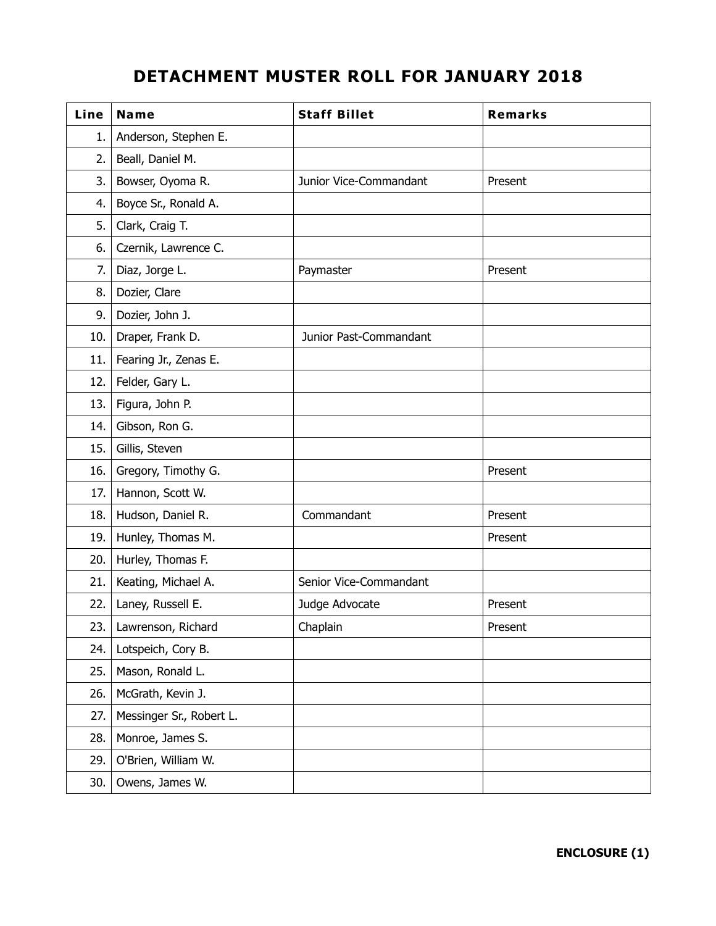# **DETACHMENT MUSTER ROLL FOR JANUARY 2018**

| Line | <b>Name</b>              | <b>Staff Billet</b>    | <b>Remarks</b> |
|------|--------------------------|------------------------|----------------|
| 1.   | Anderson, Stephen E.     |                        |                |
| 2.   | Beall, Daniel M.         |                        |                |
| 3.   | Bowser, Oyoma R.         | Junior Vice-Commandant | Present        |
| 4.   | Boyce Sr., Ronald A.     |                        |                |
| 5.   | Clark, Craig T.          |                        |                |
| 6.   | Czernik, Lawrence C.     |                        |                |
| 7.   | Diaz, Jorge L.           | Paymaster              | Present        |
| 8.   | Dozier, Clare            |                        |                |
| 9.   | Dozier, John J.          |                        |                |
| 10.  | Draper, Frank D.         | Junior Past-Commandant |                |
| 11.  | Fearing Jr., Zenas E.    |                        |                |
| 12.  | Felder, Gary L.          |                        |                |
| 13.  | Figura, John P.          |                        |                |
| 14.  | Gibson, Ron G.           |                        |                |
| 15.  | Gillis, Steven           |                        |                |
| 16.  | Gregory, Timothy G.      |                        | Present        |
| 17.  | Hannon, Scott W.         |                        |                |
| 18.  | Hudson, Daniel R.        | Commandant             | Present        |
| 19.  | Hunley, Thomas M.        |                        | Present        |
| 20.  | Hurley, Thomas F.        |                        |                |
| 21.  | Keating, Michael A.      | Senior Vice-Commandant |                |
| 22.  | Laney, Russell E.        | Judge Advocate         | Present        |
| 23.  | Lawrenson, Richard       | Chaplain               | Present        |
| 24.  | Lotspeich, Cory B.       |                        |                |
| 25.  | Mason, Ronald L.         |                        |                |
| 26.  | McGrath, Kevin J.        |                        |                |
| 27.  | Messinger Sr., Robert L. |                        |                |
| 28.  | Monroe, James S.         |                        |                |
| 29.  | O'Brien, William W.      |                        |                |
| 30.  | Owens, James W.          |                        |                |

**ENCLOSURE (1)**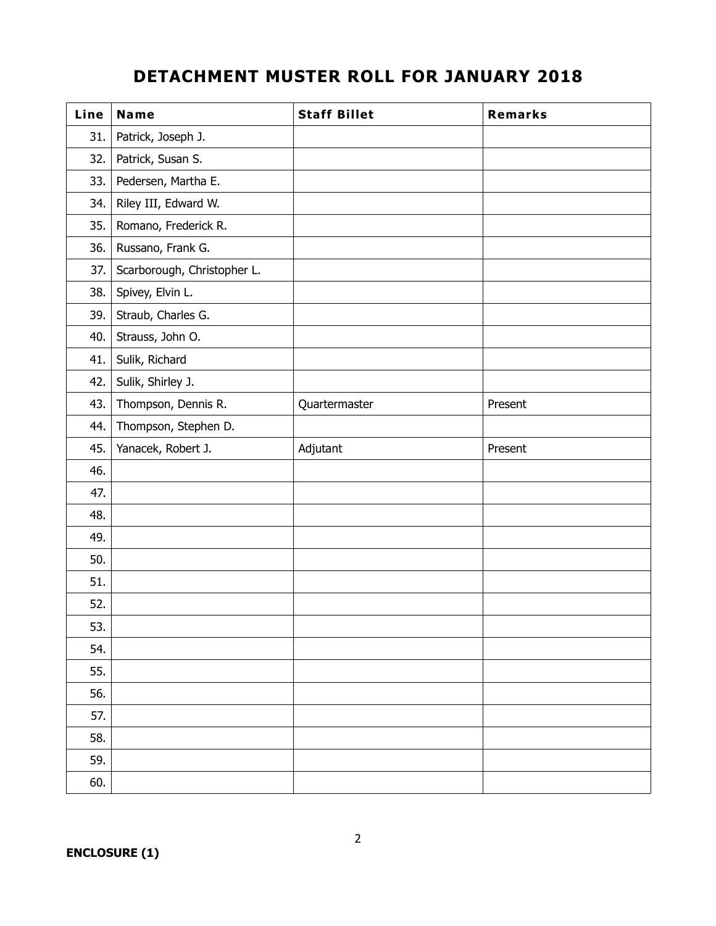# **DETACHMENT MUSTER ROLL FOR JANUARY 2018**

| Line | <b>Name</b>                 | <b>Staff Billet</b> | <b>Remarks</b> |
|------|-----------------------------|---------------------|----------------|
| 31.  | Patrick, Joseph J.          |                     |                |
| 32.  | Patrick, Susan S.           |                     |                |
| 33.  | Pedersen, Martha E.         |                     |                |
| 34.  | Riley III, Edward W.        |                     |                |
| 35.  | Romano, Frederick R.        |                     |                |
| 36.  | Russano, Frank G.           |                     |                |
| 37.  | Scarborough, Christopher L. |                     |                |
| 38.  | Spivey, Elvin L.            |                     |                |
| 39.  | Straub, Charles G.          |                     |                |
| 40.  | Strauss, John O.            |                     |                |
| 41.  | Sulik, Richard              |                     |                |
| 42.  | Sulik, Shirley J.           |                     |                |
| 43.  | Thompson, Dennis R.         | Quartermaster       | Present        |
| 44.  | Thompson, Stephen D.        |                     |                |
| 45.  | Yanacek, Robert J.          | Adjutant            | Present        |
| 46.  |                             |                     |                |
| 47.  |                             |                     |                |
| 48.  |                             |                     |                |
| 49.  |                             |                     |                |
| 50.  |                             |                     |                |
| 51.  |                             |                     |                |
| 52.  |                             |                     |                |
| 53.  |                             |                     |                |
| 54.  |                             |                     |                |
| 55.  |                             |                     |                |
| 56.  |                             |                     |                |
| 57.  |                             |                     |                |
| 58.  |                             |                     |                |
| 59.  |                             |                     |                |
| 60.  |                             |                     |                |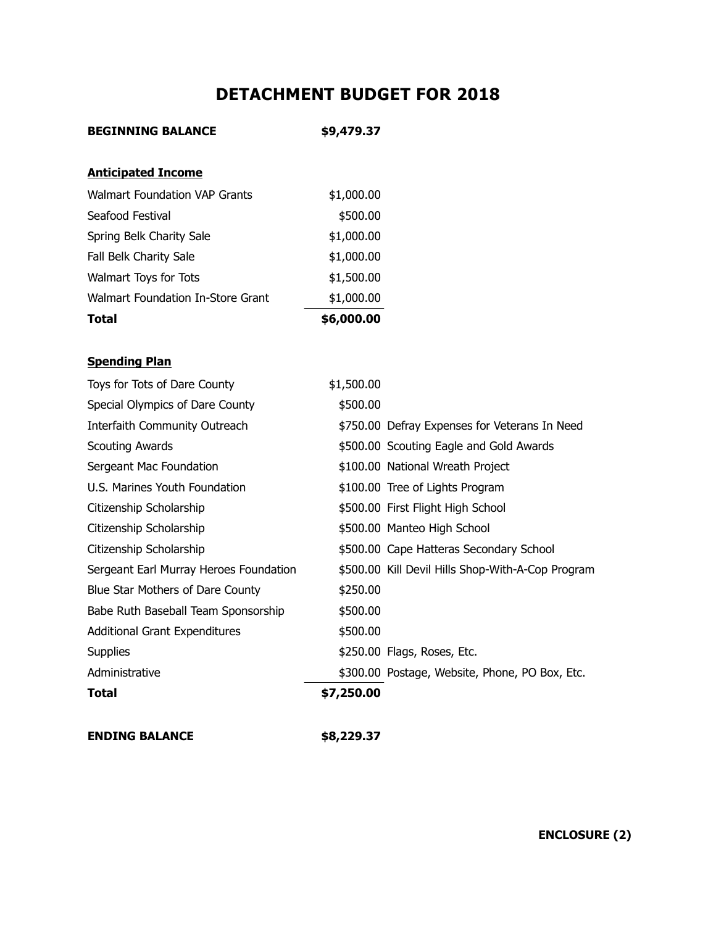### **DETACHMENT BUDGET FOR 2018**

| <b>BEGINNING BALANCE</b> | \$9,479.37 |
|--------------------------|------------|
|--------------------------|------------|

### **Anticipated Income**

| <b>Total</b>                         | \$6,000.00 |
|--------------------------------------|------------|
| Walmart Foundation In-Store Grant    | \$1,000.00 |
| Walmart Toys for Tots                | \$1,500.00 |
| Fall Belk Charity Sale               | \$1,000.00 |
| Spring Belk Charity Sale             | \$1,000.00 |
| Seafood Festival                     | \$500.00   |
| <b>Walmart Foundation VAP Grants</b> | \$1,000.00 |

### **Spending Plan**

| Toys for Tots of Dare County           | \$1,500.00 |                                                   |
|----------------------------------------|------------|---------------------------------------------------|
| Special Olympics of Dare County        | \$500.00   |                                                   |
| Interfaith Community Outreach          |            | \$750.00 Defray Expenses for Veterans In Need     |
| Scouting Awards                        |            | \$500.00 Scouting Eagle and Gold Awards           |
| Sergeant Mac Foundation                |            | \$100.00 National Wreath Project                  |
| U.S. Marines Youth Foundation          |            | \$100.00 Tree of Lights Program                   |
| Citizenship Scholarship                |            | \$500.00 First Flight High School                 |
| Citizenship Scholarship                |            | \$500.00 Manteo High School                       |
| Citizenship Scholarship                |            | \$500.00 Cape Hatteras Secondary School           |
| Sergeant Earl Murray Heroes Foundation |            | \$500.00 Kill Devil Hills Shop-With-A-Cop Program |
| Blue Star Mothers of Dare County       | \$250.00   |                                                   |
| Babe Ruth Baseball Team Sponsorship    | \$500.00   |                                                   |
| <b>Additional Grant Expenditures</b>   | \$500.00   |                                                   |
| <b>Supplies</b>                        |            | \$250.00 Flags, Roses, Etc.                       |
| Administrative                         |            | \$300.00 Postage, Website, Phone, PO Box, Etc.    |
| <b>Total</b>                           | \$7,250.00 |                                                   |
|                                        |            |                                                   |

**ENDING BALANCE \$8,229.37**

**ENCLOSURE (2)**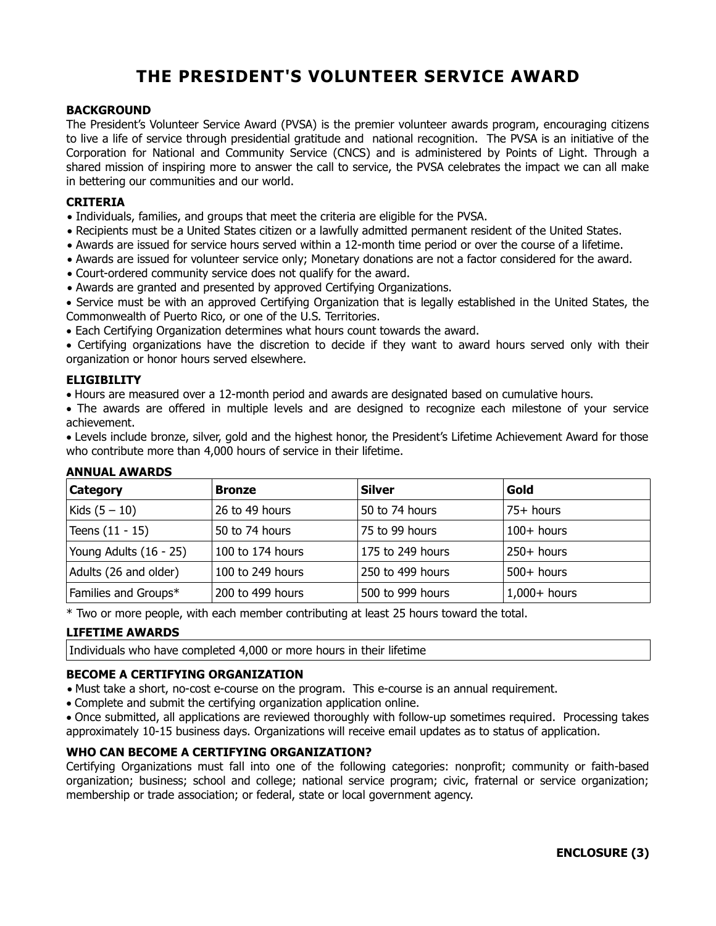## **THE PRESIDENT'S VOLUNTEER SERVICE AWARD**

#### **BACKGROUND**

The President's Volunteer Service Award (PVSA) is the premier volunteer awards program, encouraging citizens to live a life of service through presidential gratitude and national recognition. The PVSA is an initiative of the Corporation for National and Community Service (CNCS) and is administered by Points of Light. Through a shared mission of inspiring more to answer the call to service, the PVSA celebrates the impact we can all make in bettering our communities and our world.

#### **CRITERIA**

- Individuals, families, and groups that meet the criteria are eligible for the PVSA.
- Recipients must be a United States citizen or a lawfully admitted permanent resident of the United States.
- Awards are issued for service hours served within a 12-month time period or over the course of a lifetime.
- Awards are issued for volunteer service only; Monetary donations are not a factor considered for the award.
- Court-ordered community service does not qualify for the award.
- Awards are granted and presented by approved Certifying Organizations.

 Service must be with an approved Certifying Organization that is legally established in the United States, the Commonwealth of Puerto Rico, or one of the U.S. Territories.

Each Certifying Organization determines what hours count towards the award.

 Certifying organizations have the discretion to decide if they want to award hours served only with their organization or honor hours served elsewhere.

#### **ELIGIBILITY**

Hours are measured over a 12-month period and awards are designated based on cumulative hours.

 The awards are offered in multiple levels and are designed to recognize each milestone of your service achievement.

 Levels include bronze, silver, gold and the highest honor, the President's Lifetime Achievement Award for those who contribute more than 4,000 hours of service in their lifetime.

| Category               | <b>Bronze</b>    | <b>Silver</b>    | Gold           |
|------------------------|------------------|------------------|----------------|
| Kids $(5 - 10)$        | 26 to 49 hours   | 50 to 74 hours   | $75+$ hours    |
| Teens $(11 - 15)$      | 50 to 74 hours   | 75 to 99 hours   | $100+$ hours   |
| Young Adults (16 - 25) | 100 to 174 hours | 175 to 249 hours | $250+$ hours   |
| Adults (26 and older)  | 100 to 249 hours | 250 to 499 hours | $500+$ hours   |
| Families and Groups*   | 200 to 499 hours | 500 to 999 hours | $1,000+$ hours |

#### **ANNUAL AWARDS**

\* Two or more people, with each member contributing at least 25 hours toward the total.

#### **LIFETIME AWARDS**

Individuals who have completed 4,000 or more hours in their lifetime

#### **BECOME A CERTIFYING ORGANIZATION**

- Must take a short, no-cost e-course on the program. This e-course is an annual requirement.
- Complete and submit the certifying organization application online.

 Once submitted, all applications are reviewed thoroughly with follow-up sometimes required. Processing takes approximately 10-15 business days. Organizations will receive email updates as to status of application.

#### **WHO CAN BECOME A CERTIFYING ORGANIZATION?**

Certifying Organizations must fall into one of the following categories: nonprofit; community or faith-based organization; business; school and college; national service program; civic, fraternal or service organization; membership or trade association; or federal, state or local government agency.